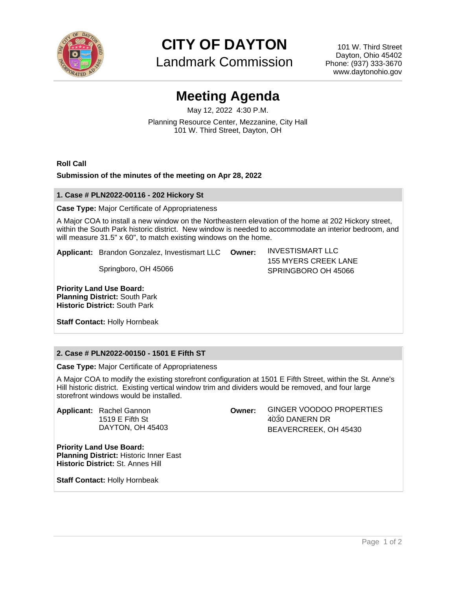

**CITY OF DAYTON**

Landmark Commission

101 W. Third Street Dayton, Ohio 45402 Phone: (937) 333-3670 www.daytonohio.gov

# **Meeting Agenda**

May 12, 2022 4:30 P.M. Planning Resource Center, Mezzanine, City Hall 101 W. Third Street, Dayton, OH

**Roll Call**

## **Submission of the minutes of the meeting on Apr 28, 2022**

#### **1. Case # PLN2022-00116 - 202 Hickory St**

**Case Type:** Major Certificate of Appropriateness

A Major COA to install a new window on the Northeastern elevation of the home at 202 Hickory street, within the South Park historic district. New window is needed to accommodate an interior bedroom, and will measure 31.5" x 60", to match existing windows on the home.

**Applicant:** Brandon Gonzalez, Investismart LLC

Springboro, OH 45066

**Owner:** INVESTISMART LLC 155 MYERS CREEK LANE SPRINGBORO OH 45066

**Priority Land Use Board: Planning District:** South Park **Historic District:** South Park

**Staff Contact:** Holly Hornbeak

## **2. Case # PLN2022-00150 - 1501 E Fifth ST**

**Case Type:** Major Certificate of Appropriateness

A Major COA to modify the existing storefront configuration at 1501 E Fifth Street, within the St. Anne's Hill historic district. Existing vertical window trim and dividers would be removed, and four large storefront windows would be installed.

**Applicant:** Rachel Gannon 1519 E Fifth St DAYTON, OH 45403

**Priority Land Use Board: Planning District:** Historic Inner East **Historic District:** St. Annes Hill

**Staff Contact:** Holly Hornbeak

4030 DANERN DR BEAVERCREEK, OH 45430

**Owner:** GINGER VOODOO PROPERTIES